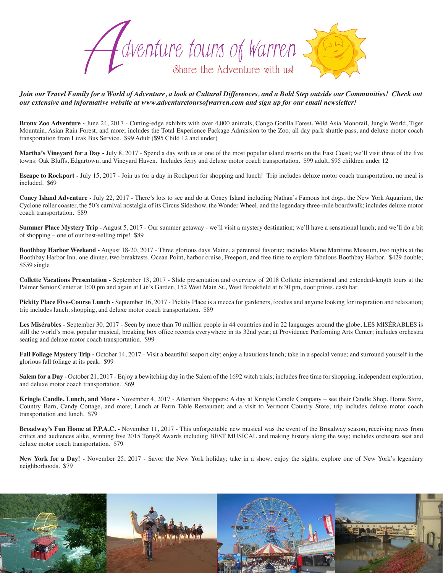

*Join our Travel Family for a World of Adventure, a look at Cultural Differences, and a Bold Step outside our Communities! Check out our extensive and informative website at www.adventuretoursofwarren.com and sign up for our email newsletter!* 

**Bronx Zoo Adventure -** June 24, 2017 - Cutting-edge exhibits with over 4,000 animals, Congo Gorilla Forest, Wild Asia Monorail, Jungle World, Tiger Mountain, Asian Rain Forest, and more; includes the Total Experience Package Admission to the Zoo, all day park shuttle pass, and deluxe motor coach transportation from Lizak Bus Service. \$99 Adult (\$95 Child 12 and under)

**Martha's Vineyard for a Day -** July 8, 2017 - Spend a day with us at one of the most popular island resorts on the East Coast; we'll visit three of the five towns: Oak Bluffs, Edgartown, and Vineyard Haven. Includes ferry and deluxe motor coach transportation. \$99 adult, \$95 children under 12

**Escape to Rockport -** July 15, 2017 - Join us for a day in Rockport for shopping and lunch! Trip includes deluxe motor coach transportation; no meal is included. \$69

**Coney Island Adventure -** July 22, 2017 - There's lots to see and do at Coney Island including Nathan's Famous hot dogs, the New York Aquarium, the Cyclone roller coaster, the 50's carnival nostalgia of its Circus Sideshow, the Wonder Wheel, and the legendary three-mile boardwalk; includes deluxe motor coach transportation. \$89

**Summer Place Mystery Trip -** August 5, 2017 - Our summer getaway - we'll visit a mystery destination; we'll have a sensational lunch; and we'll do a bit of shopping – one of our best-selling trips! \$89

**Boothbay Harbor Weekend -** August 18-20, 2017 - Three glorious days Maine, a perennial favorite; includes Maine Maritime Museum, two nights at the Boothbay Harbor Inn, one dinner, two breakfasts, Ocean Point, harbor cruise, Freeport, and free time to explore fabulous Boothbay Harbor. \$429 double; \$559 single

**Collette Vacations Presentation -** September 13, 2017 - Slide presentation and overview of 2018 Collette international and extended-length tours at the Palmer Senior Center at 1:00 pm and again at Lin's Garden, 152 West Main St., West Brookfield at 6:30 pm, door prizes, cash bar.

**Pickity Place Five-Course Lunch -** September 16, 2017 - Pickity Place is a mecca for gardeners, foodies and anyone looking for inspiration and relaxation; trip includes lunch, shopping, and deluxe motor coach transportation. \$89

**Les Misérables -** September 30, 2017 - Seen by more than 70 million people in 44 countries and in 22 languages around the globe, LES MISÉRABLES is still the world's most popular musical, breaking box office records everywhere in its 32nd year; at Providence Performing Arts Center; includes orchestra seating and deluxe motor coach transportation. \$99

Fall Foliage Mystery Trip - October 14, 2017 - Visit a beautiful seaport city; enjoy a luxurious lunch; take in a special venue; and surround yourself in the glorious fall foliage at its peak. \$99

**Salem for a Day -** October 21, 2017 - Enjoy a bewitching day in the Salem of the 1692 witch trials; includes free time for shopping, independent exploration, and deluxe motor coach transportation. \$69

**Kringle Candle, Lunch, and More -** November 4, 2017 - Attention Shoppers: A day at Kringle Candle Company – see their Candle Shop. Home Store, Country Barn, Candy Cottage, and more; Lunch at Farm Table Restaurant; and a visit to Vermont Country Store; trip includes deluxe motor coach transportation and lunch. \$79

**Broadway's Fun Home at P.P.A.C. -** November 11, 2017 - This unforgettable new musical was the event of the Broadway season, receiving raves from critics and audiences alike, winning five 2015 Tony® Awards including BEST MUSICAL and making history along the way; includes orchestra seat and deluxe motor coach transportation. \$79

**New York for a Day! -** November 25, 2017 - Savor the New York holiday; take in a show; enjoy the sights; explore one of New York's legendary neighborhoods. \$79